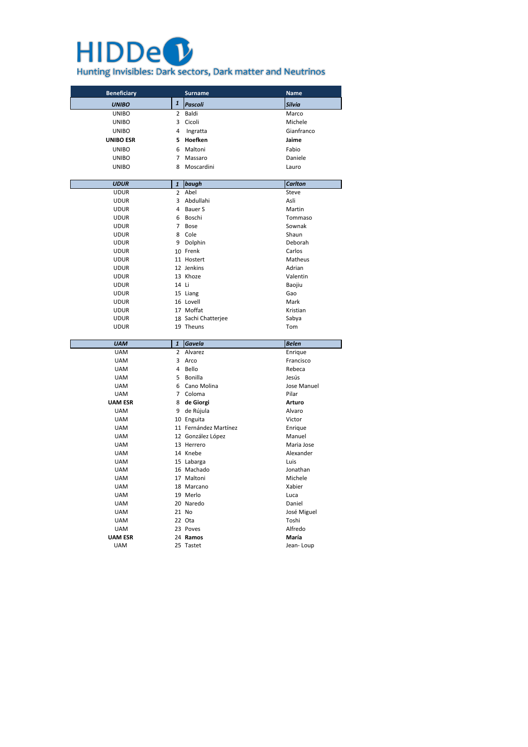## **HIDDe<sup>0</sup>** Hunting Invisibles: Dark sectors, Dark matter and Neutrinos

| <b>Beneficiary</b> |                | <b>Surname</b>      | <b>Name</b>    |
|--------------------|----------------|---------------------|----------------|
| <b>UNIBO</b>       | $\mathbf{1}$   | <b>Pascoli</b>      | <b>Silvia</b>  |
| <b>UNIBO</b>       | $\overline{2}$ | Baldi               | Marco          |
| <b>UNIBO</b>       | 3              | Cicoli              | Michele        |
| <b>UNIBO</b>       | 4              | Ingratta            | Gianfranco     |
| <b>UNIBO ESR</b>   | 5              | Hoefken             | Jaime          |
| <b>UNIBO</b>       | 6              | Maltoni             | Fabio          |
| <b>UNIBO</b>       | 7              | Massaro             | Daniele        |
| <b>UNIBO</b>       | 8              | Moscardini          | Lauro          |
|                    |                |                     |                |
| <b>UDUR</b>        | $\mathbf{1}$   | baugh               | <b>Carlton</b> |
| <b>UDUR</b>        | $\overline{2}$ | Abel                | Steve          |
| <b>UDUR</b>        | 3              | Abdullahi           | Asli           |
| <b>UDUR</b>        | 4              | <b>Bauer S</b>      | Martin         |
| <b>UDUR</b>        | 6              | Boschi              | Tommaso        |
| <b>UDUR</b>        | 7              | <b>Bose</b>         | Sownak         |
| <b>UDUR</b>        | 8              | Cole                | Shaun          |
| <b>UDUR</b>        | 9              | Dolphin             | Deborah        |
| <b>UDUR</b>        |                | 10 Frenk            | Carlos         |
| <b>UDUR</b>        |                | 11 Hostert          | Matheus        |
| <b>UDUR</b>        |                | 12 Jenkins          | Adrian         |
| <b>UDUR</b>        |                | 13 Khoze            | Valentin       |
| <b>UDUR</b>        | 14 Li          |                     | Baojiu         |
| <b>UDUR</b>        |                | 15 Liang            | Gao            |
| <b>UDUR</b>        |                | 16 Lovell           | Mark           |
| <b>UDUR</b>        |                | 17 Moffat           | Kristian       |
| <b>UDUR</b>        |                | 18 Sachi Chatterjee | Sabya          |
| <b>UDUR</b>        |                | 19 Theuns           | Tom            |

**UAM ESR** 24 **Ramos María** UAM 25 Tastet 120 Jean- Loup

| <b>UAM</b>     | 1              | <b>Gavela</b>         | <b>Belen</b>  |
|----------------|----------------|-----------------------|---------------|
| <b>UAM</b>     | $\overline{2}$ | Alvarez               | Enrique       |
| <b>UAM</b>     | 3              | Arco                  | Francisco     |
| <b>UAM</b>     | 4              | Bello                 | Rebeca        |
| <b>UAM</b>     | 5              | <b>Bonilla</b>        | Jesús         |
| <b>UAM</b>     | 6              | Cano Molina           | Jose Manuel   |
| <b>UAM</b>     | 7              | Coloma                | Pilar         |
| <b>UAM ESR</b> | 8              | de Giorgi             | <b>Arturo</b> |
| <b>UAM</b>     | 9              | de Rújula             | Alvaro        |
| <b>UAM</b>     | 10             | Enguita               | Victor        |
| <b>UAM</b>     |                | 11 Fernández Martínez | Enrique       |
| <b>UAM</b>     |                | 12 González López     | Manuel        |
| <b>UAM</b>     |                | 13 Herrero            | Maria Jose    |
| <b>UAM</b>     |                | 14 Knebe              | Alexander     |
| <b>UAM</b>     |                | 15 Labarga            | Luis          |
| <b>UAM</b>     |                | 16 Machado            | Jonathan      |
| <b>UAM</b>     |                | 17 Maltoni            | Michele       |
| <b>UAM</b>     |                | 18 Marcano            | Xabier        |
| <b>UAM</b>     |                | 19 Merlo              | Luca          |
| <b>UAM</b>     |                | 20 Naredo             | Daniel        |
| <b>UAM</b>     |                | 21 No                 | José Miguel   |
| <b>UAM</b>     |                | 22 Ota                | Toshi         |
| <b>UAM</b>     |                | 23 Poves              | Alfredo       |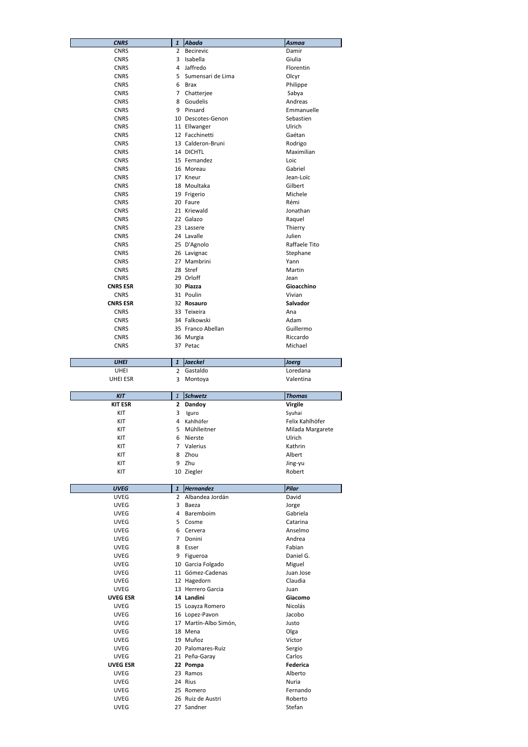| <b>CNRS</b>     | 1              | <b>Abada</b>      | <b>Asmaa</b>    |
|-----------------|----------------|-------------------|-----------------|
| <b>CNRS</b>     | $\overline{2}$ | <b>Becirevic</b>  | Damir           |
| <b>CNRS</b>     | 3              | Isabella          | Giulia          |
| <b>CNRS</b>     | 4              | Jaffredo          | Florentin       |
| <b>CNRS</b>     | 5              | Sumensari de Lima | Olcyr           |
| <b>CNRS</b>     | 6              | <b>Brax</b>       | Philippe        |
| <b>CNRS</b>     | 7              | Chatterjee        | Sabya           |
| <b>CNRS</b>     | 8              | Goudelis          | Andreas         |
| <b>CNRS</b>     | 9              | Pinsard           | Emmanuelle      |
| <b>CNRS</b>     |                | 10 Descotes-Genon | Sebastien       |
| <b>CNRS</b>     |                | 11 Ellwanger      | Ulrich          |
| <b>CNRS</b>     |                | 12 Facchinetti    | Gaétan          |
| <b>CNRS</b>     |                | 13 Calderon-Bruni | Rodrigo         |
| <b>CNRS</b>     |                | 14 DICHTL         | Maximilian      |
| <b>CNRS</b>     |                | 15 Fernandez      | Loic            |
| <b>CNRS</b>     |                | 16 Moreau         | Gabriel         |
| <b>CNRS</b>     |                | 17 Kneur          | Jean-Loïc       |
| <b>CNRS</b>     |                | 18 Moultaka       | Gilbert         |
| <b>CNRS</b>     |                | 19 Frigerio       | Michele         |
| <b>CNRS</b>     |                | 20 Faure          | Rémi            |
| <b>CNRS</b>     |                | 21 Kriewald       | Jonathan        |
| <b>CNRS</b>     |                | 22 Galazo         | Raquel          |
| <b>CNRS</b>     |                | 23 Lassere        | Thierry         |
| <b>CNRS</b>     |                | 24 Lavalle        | Julien          |
| <b>CNRS</b>     |                | 25 D'Agnolo       | Raffaele Tito   |
| <b>CNRS</b>     |                | 26 Lavignac       | Stephane        |
| <b>CNRS</b>     |                | 27 Mambrini       | Yann            |
| <b>CNRS</b>     |                | 28 Stref          | Martin          |
| <b>CNRS</b>     |                | 29 Orloff         | Jean            |
| <b>CNRS ESR</b> |                | 30 Piazza         | Gioacchino      |
| <b>CNRS</b>     |                | 31 Poulin         | Vivian          |
| <b>CNRS ESR</b> |                | 32 Rosauro        | <b>Salvador</b> |
| <b>CNRS</b>     |                | 33 Teixeira       | Ana             |
| <b>CNRS</b>     |                | 34 Falkowski      | Adam            |
| <b>CNRS</b>     |                | 35 Franco Abellan | Guillermo       |
| <b>CNRS</b>     |                | 36 Murgia         | Riccardo        |
| <b>CNRS</b>     |                | 37 Petac          | Michael         |

| <b>UHEI</b> | Jaeckel  | <b>Joera</b> |
|-------------|----------|--------------|
| JHEI        | Gastaldo | Loredana     |
| UHEI ESR    | Montoya  | Valentina    |

| <b>KIT</b>     | 1            | <b>Schwetz</b> | <b>Thomas</b>    |
|----------------|--------------|----------------|------------------|
| <b>KIT ESR</b> | $\mathbf{2}$ | Dandoy         | <b>Virgile</b>   |
| KIT            | 3            | Iguro          | Syuhai           |
| KIT            | 4            | Kahlhöfer      | Felix Kahlhöfer  |
| KIT            | 5.           | Mühlleitner    | Milada Margarete |
| KIT            | 6            | Nierste        | Ulrich           |
| KIT            | 7            | Valerius       | Kathrin          |
| KIT            | 8            | Zhou           | Albert           |
| KIT            | 9            | Zhu            | Jing-yu          |
| KIT            |              | 10 Ziegler     | Robert           |

| <b>UVEG</b> |    | <i><u><b>Hernandez</b></u></i> | <b>Pilar</b> |
|-------------|----|--------------------------------|--------------|
| UVEG        |    | 2 Albandea Jordán              | David        |
| <b>UVEG</b> |    | 3 Baeza                        | Jorge        |
| <b>UVEG</b> |    | 4 Baremboim                    | Gabriela     |
| <b>UVEG</b> |    | 5 Cosme                        | Catarina     |
| <b>UVEG</b> | 6. | Cervera                        | Anselmo      |

| <b>UVEG</b>     | 7 | Donini                | Andrea    |
|-----------------|---|-----------------------|-----------|
| <b>UVEG</b>     | 8 | Esser                 | Fabian    |
| <b>UVEG</b>     | 9 | Figueroa              | Daniel G. |
| <b>UVEG</b>     |   | 10 Garcia Folgado     | Miguel    |
| <b>UVEG</b>     |   | 11 Gómez-Cadenas      | Juan Jose |
| <b>UVEG</b>     |   | 12 Hagedorn           | Claudia   |
| UVEG            |   | 13 Herrero Garcia     | Juan      |
| <b>UVEG ESR</b> |   | 14 Landini            | Giacomo   |
| UVEG            |   | 15 Loayza Romero      | Nicolás   |
| <b>UVEG</b>     |   | 16 Lopez-Pavon        | Jacobo    |
| <b>UVEG</b>     |   | 17 Martín-Albo Simón, | Justo     |
| <b>UVEG</b>     |   | 18 Mena               | Olga      |
| <b>UVEG</b>     |   | 19 Muñoz              | Víctor    |
| <b>UVEG</b>     |   | 20 Palomares-Ruiz     | Sergio    |
| <b>UVEG</b>     |   | 21 Peña-Garay         | Carlos    |
| <b>UVEG ESR</b> |   | 22 Pompa              | Federica  |
| <b>UVEG</b>     |   | 23 Ramos              | Alberto   |
| <b>UVEG</b>     |   | 24 Rius               | Nuria     |
| <b>UVEG</b>     |   | 25 Romero             | Fernando  |
| <b>UVEG</b>     |   | 26 Ruiz de Austri     | Roberto   |
| <b>UVEG</b>     |   | 27 Sandner            | Stefan    |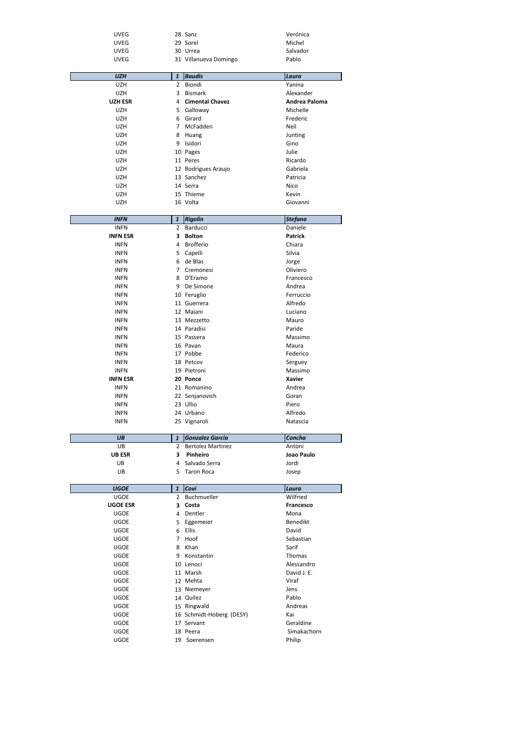| <b>UVEG</b> | 28 Sanz               | Verónica |
|-------------|-----------------------|----------|
| <b>UVEG</b> | 29 Sorel              | Michel   |
| <b>UVEG</b> | 30 Urrea              | Salvador |
| <b>UVEG</b> | 31 Villanueva Domingo | Pablo    |

| <b>UZH</b>     | $\mathbf{1}$   | <b>Baudis</b>          | Laura         |
|----------------|----------------|------------------------|---------------|
|                |                |                        |               |
| <b>UZH</b>     | $\overline{2}$ | Biondi                 | Yanina        |
| <b>UZH</b>     | 3              | <b>Bismark</b>         | Alexander     |
| <b>UZH ESR</b> | $\overline{4}$ | <b>Cimental Chavez</b> | Andrea Paloma |
| <b>UZH</b>     | 5.             | Galloway               | Michelle      |
| <b>UZH</b>     | 6              | Girard                 | Frederic      |
| <b>UZH</b>     | 7              | McFadden               | Neil          |
| <b>UZH</b>     | 8              | Huang                  | Junting       |
| <b>UZH</b>     | 9              | Isidori                | Gino          |
| <b>UZH</b>     |                | 10 Pages               | Julie         |
| <b>UZH</b>     |                | 11 Peres               | Ricardo       |
| <b>UZH</b>     |                | 12 Rodrigues Araujo    | Gabriela      |
| UZH.           |                | 13 Sanchez             | Patricia      |
| UZH            |                | 14 Serra               | Nico          |
| <b>UZH</b>     |                | 15 Thieme              | Kevin         |
| <b>UZH</b>     |                | 16 Volta               | Giovanni      |

| <b>INFN</b>     | $\mathbf{1}$   | <b>Rigolin</b>   | <b>Stefano</b> |
|-----------------|----------------|------------------|----------------|
| <b>INFN</b>     | $\overline{2}$ | Barducci         | Daniele        |
| <b>INFN ESR</b> | 3              | <b>Bolton</b>    | <b>Patrick</b> |
| <b>INFN</b>     | 4              | <b>Brofferio</b> | Chiara         |
| <b>INFN</b>     | 5              | Capelli          | Silvia         |
| <b>INFN</b>     | 6              | de Blas          | Jorge          |
| <b>INFN</b>     | 7              | Cremonesi        | Oliviero       |
| <b>INFN</b>     | 8              | D'Eramo          | Francesco      |
| <b>INFN</b>     | 9              | De Simone        | Andrea         |
| <b>INFN</b>     |                | 10 Feruglio      | Ferruccio      |
| <b>INFN</b>     |                | 11 Guerrera      | Alfredo        |
| <b>INFN</b>     |                | 12 Maiani        | Luciano        |
| <b>INFN</b>     |                | 13 Mezzetto      | Mauro          |
| <b>INFN</b>     |                | 14 Paradisi      | Paride         |
| <b>INFN</b>     |                | 15 Passera       | Massimo        |
| <b>INFN</b>     |                | 16 Pavan         | Maura          |
| <b>INFN</b>     |                | 17 Pobbe         | Federico       |
| <b>INFN</b>     |                | 18 Petcov        | Serguey        |
| <b>INFN</b>     |                | 19 Pietroni      | Massimo        |
| <b>INFN ESR</b> |                | 20 Ponce         | <b>Xavier</b>  |
| <b>INFN</b>     |                | 21 Romanino      | Andrea         |
| <b>INFN</b>     |                | 22 Senjanovich   | Goran          |
| <b>INFN</b>     |                | 23 Ullio         | Piero          |
| <b>INFN</b>     |                | 24 Urbano        | Alfredo        |
| <b>INFN</b>     |                | 25 Vignaroli     | Natascia       |
|                 |                |                  |                |

| UB            |    | Gonzalez Garcia     | Concha     |
|---------------|----|---------------------|------------|
| UB            |    | 2 Bertolez Martinez | Antoni     |
| <b>UB ESR</b> |    | Pinheiro            | Joao Paulo |
| UB            |    | 4 Salvado Serra     | Jordi      |
| UB            | 5. | Taron Roca          | Josep      |

| <b>UGOE</b>     | $\mathbf{1}$   | Covi                     | Laura            |
|-----------------|----------------|--------------------------|------------------|
| <b>UGOE</b>     | $\mathfrak{p}$ | Buchmueller              | Wilfried         |
| <b>UGOE ESR</b> | 3              | Costa                    | <b>Francesco</b> |
| <b>UGOE</b>     | 4              | Dentler                  | Mona             |
| <b>UGOE</b>     | 5.             | Eggemeier                | <b>Benedikt</b>  |
| <b>UGOE</b>     | 6              | <b>Ellis</b>             | David            |
| <b>UGOE</b>     | $\overline{7}$ | Hoof                     | Sebastian        |
| <b>UGOE</b>     | 8              | Khan                     | Sarif            |
| <b>UGOE</b>     | 9              | Konstantin               | Thomas           |
| <b>UGOE</b>     |                | 10 Lenoci                | Alessandro       |
| <b>UGOE</b>     |                | 11 Marsh                 | David J. E.      |
| <b>UGOE</b>     |                | 12 Mehta                 | Viraf            |
| <b>UGOE</b>     |                | 13 Niemeyer              | Jens             |
| <b>UGOE</b>     |                | 14 Quilez                | Pablo            |
| <b>UGOE</b>     |                | 15 Ringwald              | Andreas          |
| <b>UGOE</b>     |                | 16 Schmidt-Hoberg (DESY) | Kai              |
| <b>UGOE</b>     |                | 17 Servant               | Geraldine        |
| <b>UGOE</b>     |                | 18 Peera                 | Simakachorn      |
| <b>UGOE</b>     | 19             | Soerensen                | Philip           |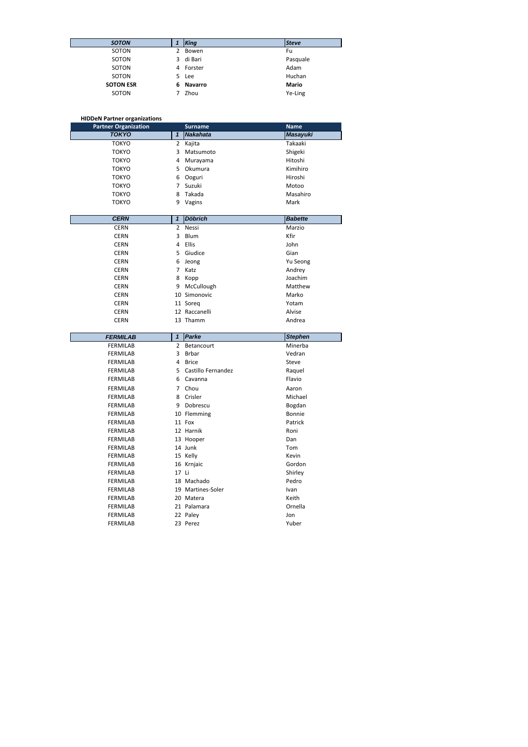| <b>SOTON</b>     |   | King      | <b>Steve</b> |
|------------------|---|-----------|--------------|
| SOTON            | 2 | Bowen     | Fu           |
| SOTON            | 3 | di Bari   | Pasquale     |
| SOTON            |   | 4 Forster | Adam         |
| SOTON            |   | 5 Lee     | Huchan       |
| <b>SOTON ESR</b> | 6 | Navarro   | <b>Mario</b> |
| SOTON            | 7 | Zhou      | Ye-Ling      |

## **HIDDeN Partner organizations**

| <b>Partner Organization</b> |              | <b>Surname</b>  | <b>Name</b>     |
|-----------------------------|--------------|-----------------|-----------------|
| <b>TOKYO</b>                |              | <b>Nakahata</b> | <b>Masayuki</b> |
| <b>TOKYO</b>                | $\mathbf{2}$ | Kajita          | Takaaki         |
| <b>TOKYO</b>                | 3            | Matsumoto       | Shigeki         |
| <b>TOKYO</b>                | 4            | Murayama        | Hitoshi         |
| <b>TOKYO</b>                | 5.           | Okumura         | Kimihiro        |
| <b>TOKYO</b>                | 6            | Ooguri          | Hiroshi         |
| <b>TOKYO</b>                |              | Suzuki          | Motoo           |
| <b>TOKYO</b>                | 8            | Takada          | Masahiro        |
| <b>TOKYO</b>                | 9            | Vagins          | Mark            |

| <b>CERN</b> | 1            | <b>Döbrich</b> | <b>Babette</b> |
|-------------|--------------|----------------|----------------|
| <b>CERN</b> | $\mathbf{2}$ | Nessi          | Marzio         |
| <b>CERN</b> | 3            | Blum           | Kfir           |
| <b>CERN</b> | 4            | Ellis          | John           |
| <b>CERN</b> | 5.           | Giudice        | Gian           |
| <b>CERN</b> | 6            | Jeong          | Yu Seong       |
| <b>CERN</b> | 7            | Katz           | Andrey         |
| <b>CERN</b> | 8            | Kopp           | Joachim        |
| <b>CERN</b> | 9            | McCullough     | Matthew        |
| <b>CERN</b> |              | 10 Simonovic   | Marko          |
| <b>CERN</b> |              | 11 Soreg       | Yotam          |
| <b>CERN</b> |              | 12 Raccanelli  | Alvise         |
| <b>CERN</b> |              | 13 Thamm       | Andrea         |

| <b>FERMILAB</b> | 1             | <b>Parke</b>       | <b>Stephen</b> |
|-----------------|---------------|--------------------|----------------|
| <b>FERMILAB</b> | $\mathcal{L}$ | <b>Betancourt</b>  | Minerba        |
| <b>FERMILAB</b> | 3             | <b>Brbar</b>       | Vedran         |
| <b>FERMILAB</b> | 4             | <b>Brice</b>       | Steve          |
| <b>FERMILAB</b> | 5             | Castillo Fernandez | Raquel         |
| <b>FERMILAB</b> | 6             | Cavanna            | Flavio         |
| <b>FERMILAB</b> | 7             | Chou               | Aaron          |
| <b>FERMILAB</b> | 8             | Crisler            | Michael        |
| <b>FERMILAB</b> | 9             | Dobrescu           | Bogdan         |
| <b>FERMILAB</b> |               | 10 Flemming        | <b>Bonnie</b>  |
| <b>FERMILAB</b> |               | 11 Fox             | Patrick        |
| <b>FERMILAB</b> |               | 12 Harnik          | Roni           |
| <b>FERMILAB</b> |               | 13 Hooper          | Dan            |
| <b>FERMILAB</b> |               | 14 Junk            | Tom            |
| <b>FERMILAB</b> |               | 15 Kelly           | Kevin          |
| <b>FERMILAB</b> |               | 16 Krnjaic         | Gordon         |
| <b>FERMILAB</b> | 17 Li         |                    | Shirley        |
| <b>FERMILAB</b> |               | 18 Machado         | Pedro          |
| <b>FERMILAB</b> |               | 19 Martines-Soler  | Ivan           |
| <b>FERMILAB</b> |               | 20 Matera          | Keith          |
| <b>FERMILAB</b> |               | 21 Palamara        | Ornella        |
| <b>FERMILAB</b> |               | 22 Paley           | Jon            |
| <b>FERMILAB</b> |               | 23 Perez           | Yuber          |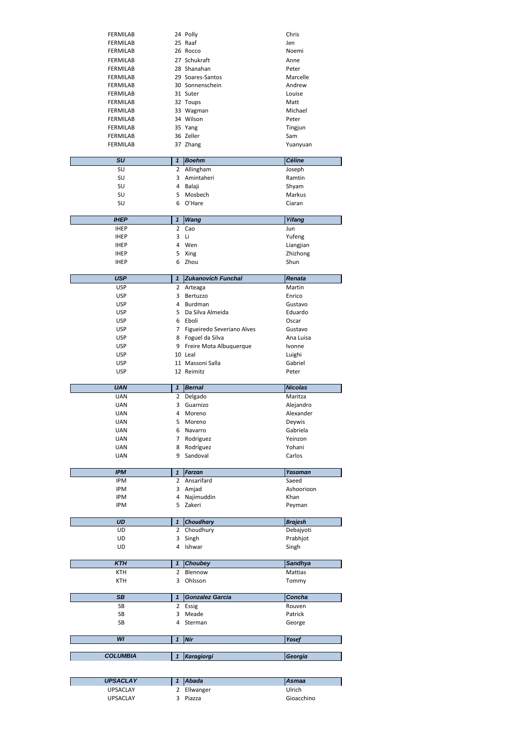| <b>FERMILAB</b> | 24 Polly         | Chris    |
|-----------------|------------------|----------|
| <b>FERMILAB</b> | 25 Raaf          | Jen      |
| <b>FERMILAB</b> | 26 Rocco         | Noemi    |
| <b>FERMILAB</b> | 27 Schukraft     | Anne     |
| FERMILAB        | 28 Shanahan      | Peter    |
| <b>FERMILAB</b> | 29 Soares-Santos | Marcelle |
| FERMILAB        | 30 Sonnenschein  | Andrew   |
| FERMILAB        | 31 Suter         | Louise   |
| FERMILAB        | 32 Toups         | Matt     |
| <b>FERMILAB</b> | 33 Wagman        | Michael  |
| <b>FERMILAB</b> | 34 Wilson        | Peter    |
| FERMILAB        | 35 Yang          | Tingjun  |
| <b>FERMILAB</b> | 36 Zeller        | Sam      |
| <b>FERMILAB</b> | 37 Zhang         | Yuanyuan |
|                 |                  |          |

| <b>SU</b> | <b>Boehm</b> | <b>Céline</b> |
|-----------|--------------|---------------|
| SU        | 2 Allingham  | Joseph        |
| SU        | 3 Amintaheri | Ramtin        |
| SU        | 4 Balaji     | Shyam         |
| SU        | 5 Mosbech    | Markus        |
| SU        | 6 O'Hare     | Ciaran        |
|           |              |               |

| <b>IHEP</b> |    | <b>Wang</b> | Yifang    |
|-------------|----|-------------|-----------|
| <b>IHEP</b> |    | 2 Cao       | Jun       |
| <b>IHEP</b> | 3  | Li          | Yufeng    |
| <b>IHEP</b> | 4  | Wen         | Liangjian |
| <b>IHEP</b> |    | 5 Xing      | Zhizhong  |
| <b>IHEP</b> | 6. | Zhou        | Shun      |

| <b>USP</b> |             | <b>Zukanovich Funchal</b>  | <b>Renata</b> |
|------------|-------------|----------------------------|---------------|
| <b>USP</b> | $2^{\circ}$ | Arteaga                    | Martin        |
| <b>USP</b> | 3           | Bertuzzo                   | Enrico        |
| <b>USP</b> | 4           | Burdman                    | Gustavo       |
| <b>USP</b> |             | 5 Da Silva Almeida         | Eduardo       |
| <b>USP</b> |             | 6 Eboli                    | Oscar         |
| <b>USP</b> |             | Figueiredo Severiano Alves | Gustavo       |
| <b>USP</b> | 8           | Foguel da Silva            | Ana Luisa     |
| <b>USP</b> |             | 9 Freire Mota Albuquerque  | <i>vonne</i>  |
| <b>USP</b> |             | 10 Leal                    | Luighi        |
| <b>USP</b> |             | 11 Massoni Salla           | Gabriel       |
| <b>USP</b> |             | 12 Reimitz                 | Peter         |

| <b>UAN</b> | 1              | <b>Bernal</b>    | <b>Nicolas</b> |
|------------|----------------|------------------|----------------|
| <b>UAN</b> | $\overline{2}$ | Delgado          | Maritza        |
| <b>UAN</b> | 3              | Guarnizo         | Alejandro      |
| <b>UAN</b> | 4              | Moreno           | Alexander      |
| <b>UAN</b> | 5              | Moreno           | Deywis         |
| <b>UAN</b> | 6              | Navarro          | Gabriela       |
| <b>UAN</b> | 7              | Rodriguez        | Yeinzon        |
| <b>UAN</b> | 8              | Rodríguez        | Yohani         |
| <b>UAN</b> | 9              | Sandoval         | Carlos         |
|            |                |                  |                |
|            |                |                  |                |
| <b>IPM</b> | $\mathbf{1}$   | Farzan           | Yasaman        |
| <b>IPM</b> | $\overline{2}$ | Ansarifard       | Saeed          |
| <b>IPM</b> | 3              | Amjad            | Ashoorioon     |
| <b>IPM</b> | 4              | Najimuddin       | Khan           |
| <b>IPM</b> | 5              | Zakeri           | Peyman         |
|            |                |                  |                |
| <b>UD</b>  | $\mathbf{1}$   | <b>Choudhary</b> | <b>Brajesh</b> |

| UD | 3 Singh  | Prabhjot |
|----|----------|----------|
| UD | 4 Ishwar | Singh    |

| <b>KTH</b> | <b>Choubey</b> | <b>Sandhya</b> |
|------------|----------------|----------------|
| ктн        | Blennow        | <b>Mattias</b> |
| ктн        | Ohlsson        | Tommy          |

| SB | Gonzalez Garcia | <b>Concha</b> |
|----|-----------------|---------------|
| SB | 2 Essig         | Rouven        |
| SB | Meade           | Patrick       |
| SΒ | Sterman         | George        |

| .<br>~<br>.     |  |
|-----------------|--|
| __________<br>_ |  |

| <b>UPSACLAY</b> | l Abada   | <b>Asmaa</b> |
|-----------------|-----------|--------------|
| UPSACLAY        | Ellwanger | Ulrich       |
| UPSACLAY        | Piazza    | Gioacchino   |